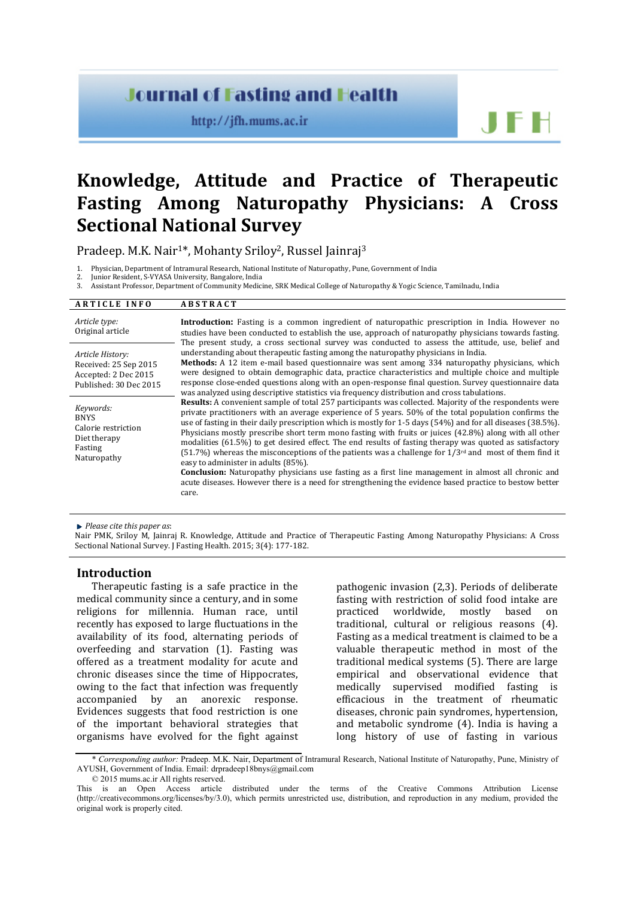# **Journal of Fasting and Health**

http://jfh.mums.ac.ir

JEH

# **Knowledge, Attitude and Practice of Therapeutic Fasting Among Naturopathy Physicians: A Cross Sectional National Survey**

Pradeep. M.K. Nair<sup>1\*</sup>, Mohanty Sriloy<sup>2</sup>, Russel Jainraj<sup>3</sup>

1. Physician, Department of Intramural Research, National Institute of Naturopathy, Pune, Government of India<br>2. Junior Resident, S-VVASA University, Bangalore, India

2. Junior Resident, S-VYASA University, Bangalore, India

3. Assistant Professor, Department of Community Medicine, SRK Medical College of Naturopathy & Yogic Science, Tamilnadu, India

#### **A R T I C L E I N F O A B S T R A C T**

| Article type:<br>Original article                                                           | <b>Introduction:</b> Fasting is a common ingredient of naturopathic prescription in India. However no<br>studies have been conducted to establish the use, approach of naturopathy physicians towards fasting.<br>The present study, a cross sectional survey was conducted to assess the attitude, use, belief and<br>understanding about therapeutic fasting among the naturopathy physicians in India.<br><b>Methods:</b> A 12 item e-mail based questionnaire was sent among 334 naturopathy physicians, which<br>were designed to obtain demographic data, practice characteristics and multiple choice and multiple<br>response close-ended questions along with an open-response final question. Survey questionnaire data<br>was analyzed using descriptive statistics via frequency distribution and cross tabulations.                                                                                                                      |
|---------------------------------------------------------------------------------------------|-------------------------------------------------------------------------------------------------------------------------------------------------------------------------------------------------------------------------------------------------------------------------------------------------------------------------------------------------------------------------------------------------------------------------------------------------------------------------------------------------------------------------------------------------------------------------------------------------------------------------------------------------------------------------------------------------------------------------------------------------------------------------------------------------------------------------------------------------------------------------------------------------------------------------------------------------------|
| Article History:<br>Received: 25 Sep 2015<br>Accepted: 2 Dec 2015<br>Published: 30 Dec 2015 |                                                                                                                                                                                                                                                                                                                                                                                                                                                                                                                                                                                                                                                                                                                                                                                                                                                                                                                                                       |
| Keywords:<br><b>BNYS</b><br>Calorie restriction<br>Diet therapy<br>Fasting<br>Naturopathy   | <b>Results:</b> A convenient sample of total 257 participants was collected. Majority of the respondents were<br>private practitioners with an average experience of 5 years. 50% of the total population confirms the<br>use of fasting in their daily prescription which is mostly for 1-5 days $(54%)$ and for all diseases $(38.5%)$ .<br>Physicians mostly prescribe short term mono fasting with fruits or juices (42.8%) along with all other<br>modalities (61.5%) to get desired effect. The end results of fasting therapy was quoted as satisfactory<br>(51.7%) whereas the misconceptions of the patients was a challenge for $1/3^{rd}$ and most of them find it<br>easy to administer in adults (85%).<br><b>Conclusion:</b> Naturopathy physicians use fasting as a first line management in almost all chronic and<br>acute diseases. However there is a need for strengthening the evidence based practice to bestow better<br>care. |

*Please cite this paper as*:

Nair PMK, Sriloy M, Jainraj R. Knowledge, Attitude and Practice of Therapeutic Fasting Among Naturopathy Physicians: A Cross Sectional National Survey. J Fasting Health. 2015; 3(4): 177-182.

#### **Introduction**

Therapeutic fasting is a safe practice in the medical community since a century, and in some religions for millennia. Human race, until recently has exposed to large fluctuations in the availability of its food, alternating periods of overfeeding and starvation (1). Fasting was offered as a treatment modality for acute and chronic diseases since the time of Hippocrates, owing to the fact that infection was frequently<br>accompanied by an anorexic response. anorexic response. Evidences suggests that food restriction is one of the important behavioral strategies that organisms have evolved for the fight against

pathogenic invasion (2,3). Periods of deliberate fasting with restriction of solid food intake are<br>practiced worldwide. mostly based on practiced worldwide, mostly traditional, cultural or religious reasons (4). Fasting as a medical treatment is claimed to be a valuable therapeutic method in most of the traditional medical systems (5). There are large empirical and observational evidence that medically supervised modified fasting is efficacious in the treatment of rheumatic diseases, chronic pain syndromes, hypertension, and metabolic syndrome (4). India is having a long history of use of fasting in various

© 2015 mums.ac.ir All rights reserved.

<sup>\*</sup> *Corresponding author:* Pradeep. M.K. Nair, Department of Intramural Research, National Institute of Naturopathy, Pune, Ministry of AYUSH, Government of India. Email: [drpradeep18bnys@gmail.com](mailto:drpradeep18bnys@gmail.com)

This is an Open Access article distributed under the terms of the Creative Commons Attribution License (http://creativecommons.org/licenses/by/3.0), which permits unrestricted use, distribution, and reproduction in any medium, provided the original work is properly cited.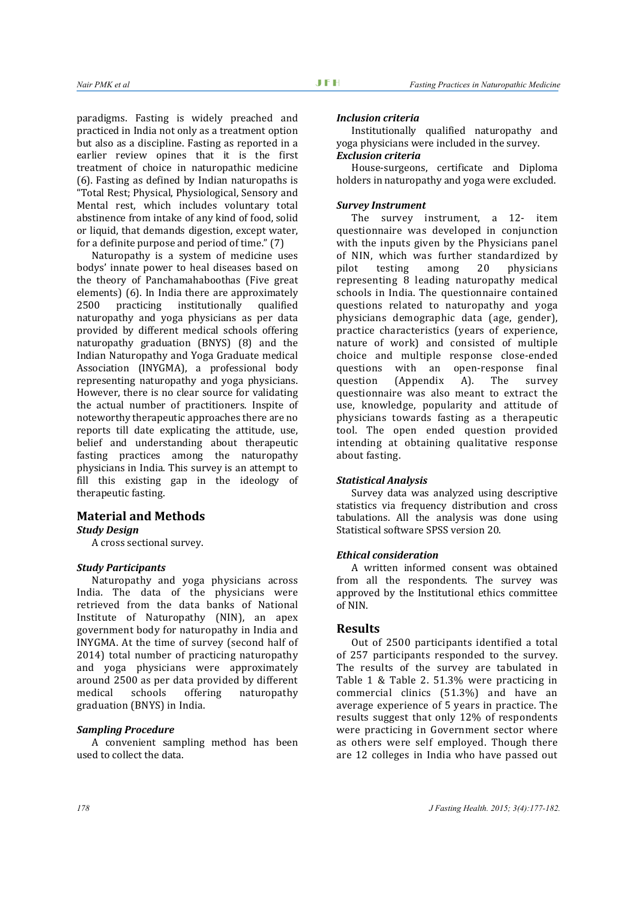paradigms. Fasting is widely preached and practiced in India not only as a treatment option but also as a discipline. Fasting as reported in a earlier review opines that it is the first treatment of choice in naturopathic medicine (6). Fasting as defined by Indian naturopaths is "Total Rest; Physical, Physiological, Sensory and Mental rest, which includes voluntary total abstinence from intake of any kind of food, solid or liquid, that demands digestion, except water, for a definite purpose and period of time." (7)

Naturopathy is a system of medicine uses bodys' innate power to heal diseases based on the theory of Panchamahaboothas (Five great elements) (6). In India there are approximately<br>2500 practicing institutionally qualified institutionally naturopathy and yoga physicians as per data provided by different medical schools offering naturopathy graduation (BNYS) (8) and the Indian Naturopathy and Yoga Graduate medical Association (INYGMA), a professional body representing naturopathy and yoga physicians. However, there is no clear source for validating the actual number of practitioners. Inspite of noteworthy therapeutic approaches there are no reports till date explicating the attitude, use, belief and understanding about therapeutic fasting practices among the naturopathy physicians in India. This survey is an attempt to fill this existing gap in the ideology of therapeutic fasting.

## **Material and Methods** *Study Design*

A cross sectional survey.

#### *Study Participants*

Naturopathy and yoga physicians across India. The data of the physicians were retrieved from the data banks of National Institute of Naturopathy (NIN), an apex government body for naturopathy in India and INYGMA. At the time of survey (second half of 2014) total number of practicing naturopathy and yoga physicians were approximately around 2500 as per data provided by different<br>medical schools offering naturopathy naturopathy graduation (BNYS) in India.

## *Sampling Procedure*

A convenient sampling method has been used to collect the data.

#### *Inclusion criteria*

Institutionally qualified naturopathy and yoga physicians were included in the survey. *Exclusion criteria*

House-surgeons, certificate and Diploma holders in naturopathy and yoga were excluded.

#### *Survey Instrument*

The survey instrument, a 12- item questionnaire was developed in conjunction with the inputs given by the Physicians panel of NIN, which was further standardized by<br>pilot testing among 20 physicians pilot testing among 20 physicians representing 8 leading naturopathy medical schools in India. The questionnaire contained questions related to naturopathy and yoga physicians demographic data (age, gender), practice characteristics (years of experience, nature of work) and consisted of multiple choice and multiple response close-ended questions with an open-response final<br>question (Appendix A). The survey question (Appendix A). The survey questionnaire was also meant to extract the use, knowledge, popularity and attitude of physicians towards fasting as a therapeutic tool. The open ended question provided intending at obtaining qualitative response about fasting.

#### *Statistical Analysis*

Survey data was analyzed using descriptive statistics via frequency distribution and cross tabulations. All the analysis was done using Statistical software SPSS version 20.

# *Ethical consideration*

A written informed consent was obtained from all the respondents. The survey was approved by the Institutional ethics committee of NIN.

# **Results**

Out of 2500 participants identified a total of 257 participants responded to the survey. The results of the survey are tabulated in Table 1 & Table 2. 51.3% were practicing in commercial clinics (51.3%) and have an average experience of 5 years in practice. The results suggest that only 12% of respondents were practicing in Government sector where as others were self employed. Though there are 12 colleges in India who have passed out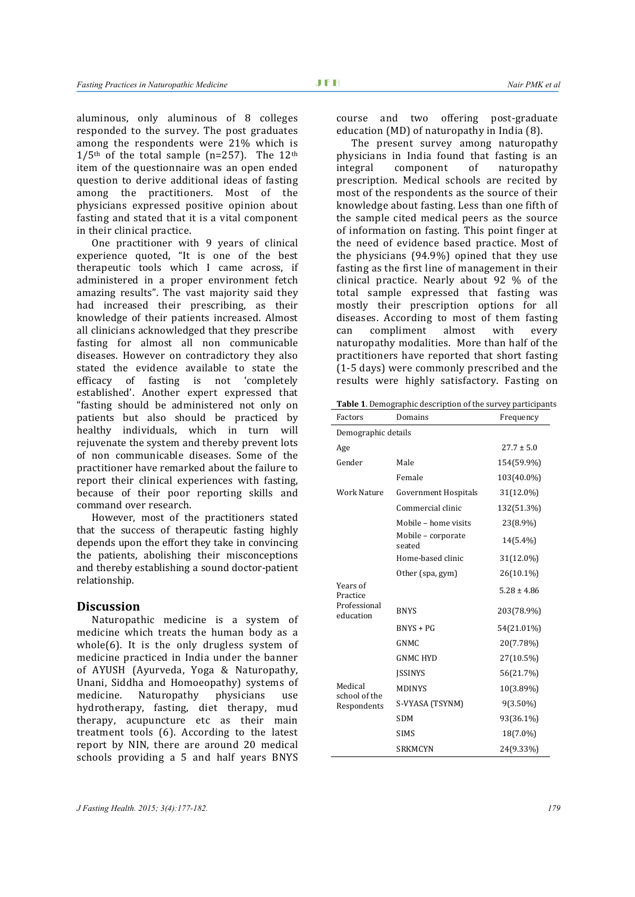aluminous, only aluminous of 8 colleges responded to the survey. The post graduates among the respondents were 21% which is  $1/5$ <sup>th</sup> of the total sample (n=257). The 12<sup>th</sup> item of the questionnaire was an open ended question to derive additional ideas of fasting among the practitioners. Most of the physicians expressed positive opinion about fasting and stated that it is a vital component in their clinical practice.

One practitioner with 9 years of clinical experience quoted, "It is one of the best therapeutic tools which I came across, if administered in a proper environment fetch amazing results". The vast majority said they had increased their prescribing, as their knowledge of their patients increased. Almost all clinicians acknowledged that they prescribe fasting for almost all non communicable diseases. However on contradictory they also stated the evidence available to state the efficacy of fasting is not 'completely established'. Another expert expressed that "fasting should be administered not only on patients but also should be practiced by healthy individuals, which in turn will rejuvenate the system and thereby prevent lots of non communicable diseases. Some of the practitioner have remarked about the failure to report their clinical experiences with fasting, because of their poor reporting skills and command over research.

However, most of the practitioners stated that the success of therapeutic fasting highly depends upon the effort they take in convincing the patients, abolishing their misconceptions and thereby establishing a sound doctor-patient relationship.

#### **Discussion**

Naturopathic medicine is a system of medicine which treats the human body as a whole(6). It is the only drugless system of medicine practiced in India under the banner of AYUSH (Ayurveda, Yoga & Naturopathy, Unani, Siddha and Homoeopathy) systems of<br>medicine. Naturopathy physicians use Naturopathy hydrotherapy, fasting, diet therapy, mud therapy, acupuncture etc as their main treatment tools (6). According to the latest report by NIN, there are around 20 medical schools providing a 5 and half years BNYS

course and two offering post-graduate education (MD) of naturopathy in India (8).

The present survey among naturopathy physicians in India found that fasting is an<br>integral component of naturopathy integral component of naturopathy prescription. Medical schools are recited by most of the respondents as the source of their knowledge about fasting. Less than one fifth of the sample cited medical peers as the source of information on fasting. This point finger at the need of evidence based practice. Most of the physicians (94.9%) opined that they use fasting as the first line of management in their clinical practice. Nearly about 92 % of the total sample expressed that fasting was mostly their prescription options for all diseases. According to most of them fasting<br>can compliment almost with every can compliment almost with every naturopathy modalities. More than half of the practitioners have reported that short fasting (1-5 days) were commonly prescribed and the results were highly satisfactory. Fasting on

**Table 1**. Demographic description of the survey participants

| Factors                   | Domains                      | Frequency       |  |  |
|---------------------------|------------------------------|-----------------|--|--|
| Demographic details       |                              |                 |  |  |
| Age                       |                              | $27.7 \pm 5.0$  |  |  |
| Gender                    | Male                         | 154(59.9%)      |  |  |
|                           | Female                       | 103(40.0%)      |  |  |
| <b>Work Nature</b>        | Government Hospitals         | 31(12.0%)       |  |  |
|                           | Commercial clinic            | 132(51.3%)      |  |  |
|                           | Mobile - home visits         | 23(8.9%)        |  |  |
|                           | Mobile - corporate<br>seated | 14(5.4%)        |  |  |
|                           | Home-based clinic            | 31(12.0%)       |  |  |
|                           | Other (spa, gym)             | 26(10.1%)       |  |  |
| Years of<br>Practice      |                              | $5.28 \pm 4.86$ |  |  |
| Professional<br>education | <b>BNYS</b>                  | 203(78.9%)      |  |  |
|                           | $BNYS + PG$                  | 54(21.01%)      |  |  |
|                           | <b>GNMC</b>                  | 20(7.78%)       |  |  |
|                           | <b>GNMC HYD</b>              | 27(10.5%)       |  |  |
|                           | <b>ISSINYS</b>               | 56(21.7%)       |  |  |
| Medical<br>school of the  | <b>MDINYS</b>                | 10(3.89%)       |  |  |
| Respondents               | S-VYASA (TSYNM)              | 9(3.50%)        |  |  |
|                           | <b>SDM</b>                   | 93(36.1%)       |  |  |
|                           | <b>SIMS</b>                  | 18(7.0%)        |  |  |
|                           | <b>SRKMCYN</b>               | 24(9.33%)       |  |  |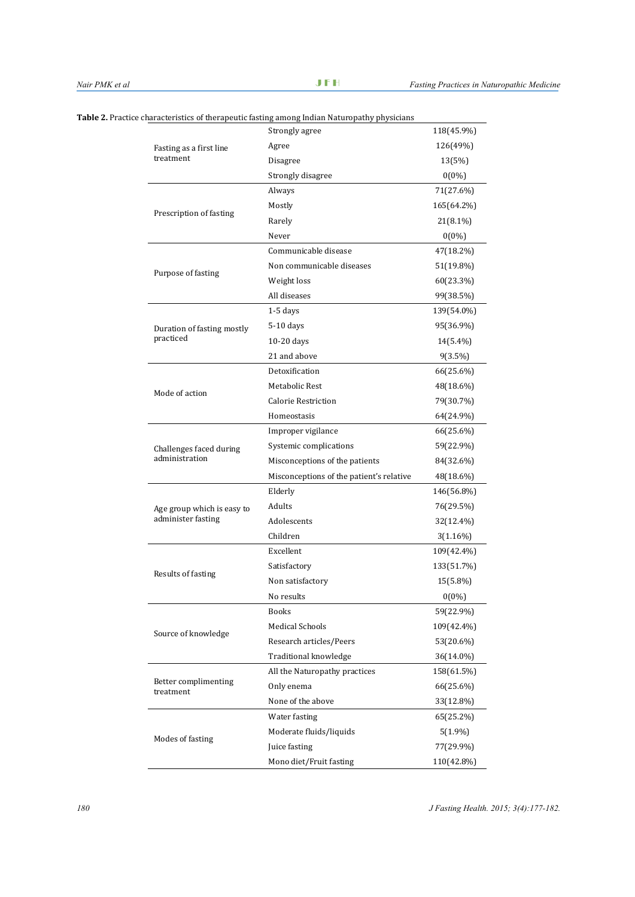|                                   | characteristics of therapeutic fasting among Indian Naturopathy physicians |             |
|-----------------------------------|----------------------------------------------------------------------------|-------------|
|                                   | Strongly agree                                                             | 118(45.9%)  |
| Fasting as a first line           | Agree                                                                      | 126(49%)    |
| treatment                         | Disagree                                                                   | 13(5%)      |
|                                   | Strongly disagree                                                          | $0(0\%)$    |
|                                   | Always                                                                     | 71(27.6%)   |
|                                   | Mostly                                                                     | 165(64.2%)  |
| Prescription of fasting           | Rarely                                                                     | 21(8.1%)    |
|                                   | Never                                                                      | $0(0\%)$    |
|                                   | Communicable disease                                                       | 47(18.2%)   |
|                                   | Non communicable diseases                                                  | 51(19.8%)   |
| Purpose of fasting                | Weight loss                                                                | 60(23.3%)   |
|                                   | All diseases                                                               | 99(38.5%)   |
|                                   | $1-5$ days                                                                 | 139(54.0%)  |
| Duration of fasting mostly        | 5-10 days                                                                  | 95(36.9%)   |
| practiced                         | 10-20 days                                                                 | 14(5.4%)    |
|                                   | 21 and above                                                               | $9(3.5\%)$  |
|                                   | Detoxification                                                             | 66(25.6%)   |
|                                   | Metabolic Rest                                                             | 48(18.6%)   |
| Mode of action                    | Calorie Restriction                                                        | 79(30.7%)   |
|                                   | Homeostasis                                                                | 64(24.9%)   |
|                                   | Improper vigilance                                                         | 66(25.6%)   |
| Challenges faced during           | Systemic complications                                                     | 59(22.9%)   |
| administration                    | Misconceptions of the patients                                             | 84(32.6%)   |
|                                   | Misconceptions of the patient's relative                                   | 48(18.6%)   |
|                                   | Elderly                                                                    | 146(56.8%)  |
| Age group which is easy to        | Adults                                                                     | 76(29.5%)   |
| administer fasting                | Adolescents                                                                | 32(12.4%)   |
|                                   | Children                                                                   | $3(1.16\%)$ |
|                                   | Excellent                                                                  | 109(42.4%)  |
|                                   | Satisfactory                                                               | 133(51.7%)  |
| Results of fasting                | Non satisfactory                                                           | 15(5.8%)    |
|                                   | No results                                                                 | 0(0%        |
|                                   | Books                                                                      | 59(22.9%)   |
|                                   | <b>Medical Schools</b>                                                     | 109(42.4%)  |
| Source of knowledge               | Research articles/Peers                                                    | 53(20.6%)   |
|                                   | Traditional knowledge                                                      | 36(14.0%)   |
|                                   | All the Naturopathy practices                                              | 158(61.5%)  |
| Better complimenting<br>treatment | Only enema                                                                 | 66(25.6%)   |
|                                   | None of the above                                                          | 33(12.8%)   |
|                                   | Water fasting                                                              | 65(25.2%)   |
|                                   | Moderate fluids/liquids                                                    | $5(1.9\%)$  |
| Modes of fasting                  | Juice fasting                                                              | 77(29.9%)   |
|                                   | Mono diet/Fruit fasting                                                    | 110(42.8%)  |

Table 2. Practice characteristics of therapeutic fasting among Indian Naturopathy physicia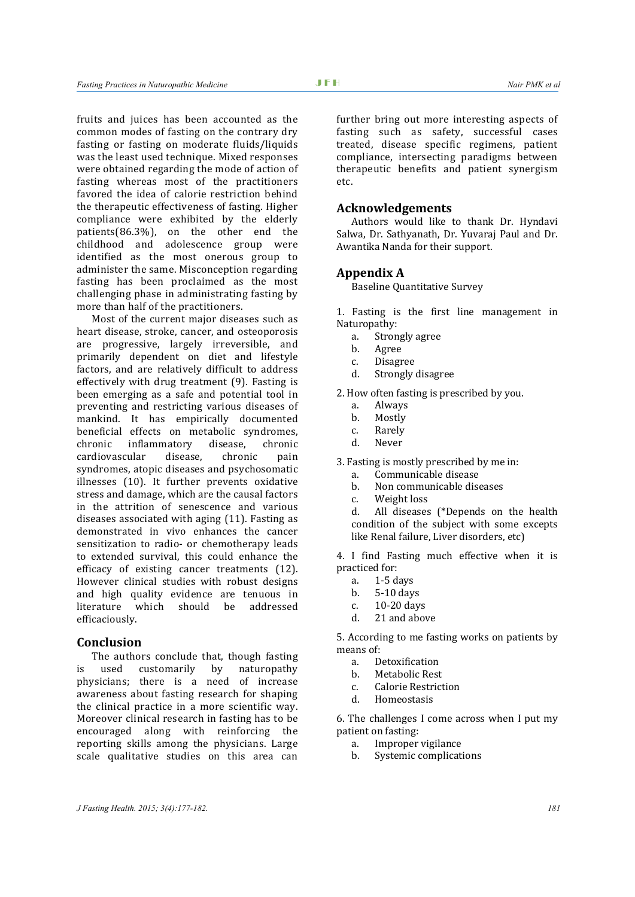fruits and juices has been accounted as the common modes of fasting on the contrary dry fasting or fasting on moderate fluids/liquids was the least used technique. Mixed responses were obtained regarding the mode of action of fasting whereas most of the practitioners favored the idea of calorie restriction behind the therapeutic effectiveness of fasting. Higher compliance were exhibited by the elderly patients(86.3%), on the other end the childhood and adolescence group were identified as the most onerous group to administer the same. Misconception regarding fasting has been proclaimed as the most challenging phase in administrating fasting by more than half of the practitioners.

Most of the current major diseases such as heart disease, stroke, cancer, and osteoporosis are progressive, largely irreversible, and primarily dependent on diet and lifestyle factors, and are relatively difficult to address effectively with drug treatment (9). Fasting is been emerging as a safe and potential tool in preventing and restricting various diseases of mankind. It has empirically documented beneficial effects on metabolic syndromes,<br>chronic inflammatory disease, chronic inflammatory disease, chronic<br>cular disease, chronic pain cardiovascular syndromes, atopic diseases and psychosomatic illnesses (10). It further prevents oxidative stress and damage, which are the causal factors in the attrition of senescence and various diseases associated with aging (11). Fasting as demonstrated in vivo enhances the cancer sensitization to radio- or chemotherapy leads to extended survival, this could enhance the efficacy of existing cancer treatments (12). However clinical studies with robust designs and high quality evidence are tenuous in should be efficaciously.

#### **Conclusion**

The authors conclude that, though fasting<br>used customarily by naturopathy is used customarily physicians; there is a need of increase awareness about fasting research for shaping the clinical practice in a more scientific way. Moreover clinical research in fasting has to be encouraged along with reinforcing the reporting skills among the physicians. Large scale qualitative studies on this area can further bring out more interesting aspects of fasting such as safety, successful cases treated, disease specific regimens, patient compliance, intersecting paradigms between therapeutic benefits and patient synergism etc.

## **Acknowledgements**

Authors would like to thank Dr. Hyndavi Salwa, Dr. Sathyanath, Dr. Yuvaraj Paul and Dr. Awantika Nanda for their support.

#### **Appendix A**

Baseline Quantitative Survey

1. Fasting is the first line management in Naturopathy:<br>a Stron

- a. Strongly agree
- b. Agree<br>C Disagn
- 
- c. Disagree<br>d. Strongly Strongly disagree

2. How often fasting is prescribed by you.<br>a. Always

- a. Always
- b. Mostly<br>c Rarely
- c. Rarely<br>d Never
- **Never**

3. Fasting is mostly prescribed by me in:<br>a Communicable disease

- a. Communicable disease<br>b. Non communicable dise
- b. Non communicable diseases<br>c. Weight loss
- c. Weight loss

All diseases (\*Depends on the health condition of the subject with some excepts like Renal failure, Liver disorders, etc)

4. I find Fasting much effective when it is practiced for:<br>a. 1-5 d

- a. 1-5 days<br> **h** 5-10 day
- b. 5-10 days
- c.  $10-20 \text{ days}$ <br>d  $21 \text{ and above}$
- 21 and above

5. According to me fasting works on patients by means of:<br> $\frac{1}{2}$ 

- a. Detoxification<br>b Metabolic Rest
- b. Metabolic Rest
- c. Calorie Restriction
- **Homeostasis**

6. The challenges I come across when I put my patient on fasting:<br>a. Improper

- a. Improper vigilance
- Systemic complications